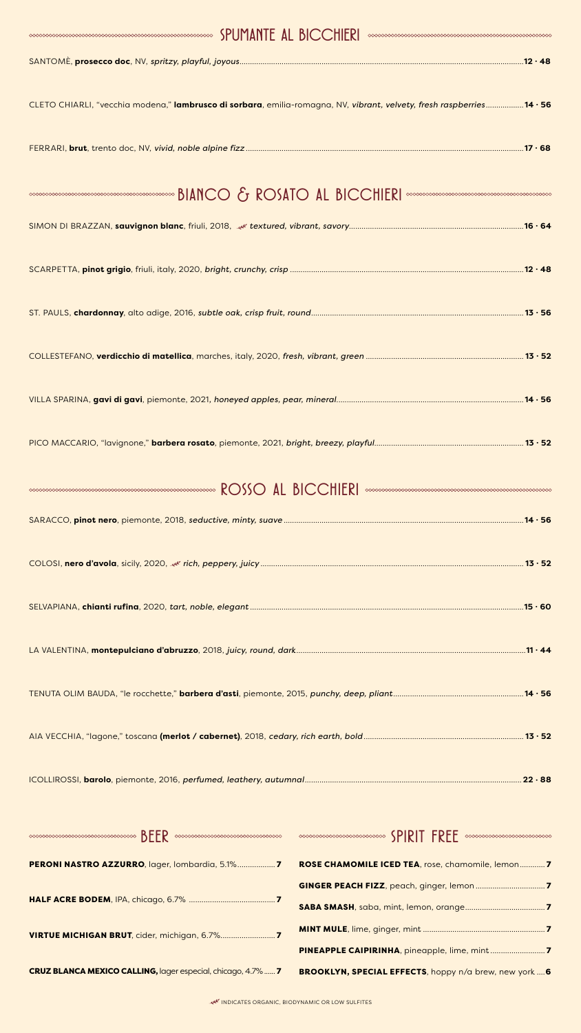| ${\color{blue}\leftharpoonup}{\color{blue}\leftharpoonup}{\color{blue}\leftharpoonup}{\color{blue}\leftharpoonup}{\color{blue}\leftharpoonup}{\color{blue}\rightharpoonup}{\color{blue}\rightharpoonup}{\color{blue}\rightharpoonup}{\color{blue}\rightharpoonup}{\color{blue}\rightharpoonup}{\color{blue}\rightharpoonup}{\color{blue}\rightharpoonup}{\color{blue}\rightharpoonup}{\color{blue}\rightharpoonup}{\color{blue}\rightharpoonup}{\color{blue}\rightharpoonup}{\color{blue}\rightharpoonup}{\color{blue}\rightharpoonup}{\color{blue}\rightharpoonup}{\color{blue}\rightharpoonup}{$ |
|----------------------------------------------------------------------------------------------------------------------------------------------------------------------------------------------------------------------------------------------------------------------------------------------------------------------------------------------------------------------------------------------------------------------------------------------------------------------------------------------------------------------------------------------------------------------------------------------------|
|                                                                                                                                                                                                                                                                                                                                                                                                                                                                                                                                                                                                    |
| CLETO CHIARLI, "vecchia modena," lambrusco di sorbara, emilia-romagna, NV, vibrant, velvety, fresh raspberries14 · 56                                                                                                                                                                                                                                                                                                                                                                                                                                                                              |
|                                                                                                                                                                                                                                                                                                                                                                                                                                                                                                                                                                                                    |
|                                                                                                                                                                                                                                                                                                                                                                                                                                                                                                                                                                                                    |
|                                                                                                                                                                                                                                                                                                                                                                                                                                                                                                                                                                                                    |
|                                                                                                                                                                                                                                                                                                                                                                                                                                                                                                                                                                                                    |
|                                                                                                                                                                                                                                                                                                                                                                                                                                                                                                                                                                                                    |
|                                                                                                                                                                                                                                                                                                                                                                                                                                                                                                                                                                                                    |
|                                                                                                                                                                                                                                                                                                                                                                                                                                                                                                                                                                                                    |
|                                                                                                                                                                                                                                                                                                                                                                                                                                                                                                                                                                                                    |

| <b>MANUS AND ROSS AND RESPONDED AL BICCHIERI</b> |  |  |  |
|--------------------------------------------------|--|--|--|
|--------------------------------------------------|--|--|--|

| ROSE CHAMOMILE ICED TEA, rose, chamomile, lemon7 |
|--------------------------------------------------|
|                                                  |
|                                                  |



#### INDICATES ORGANIC, BIODYNAMIC OR LOW SULFITES

#### CRUZ BLANCA MEXICO CALLING, lager especial, chicago, 4.7%...... 7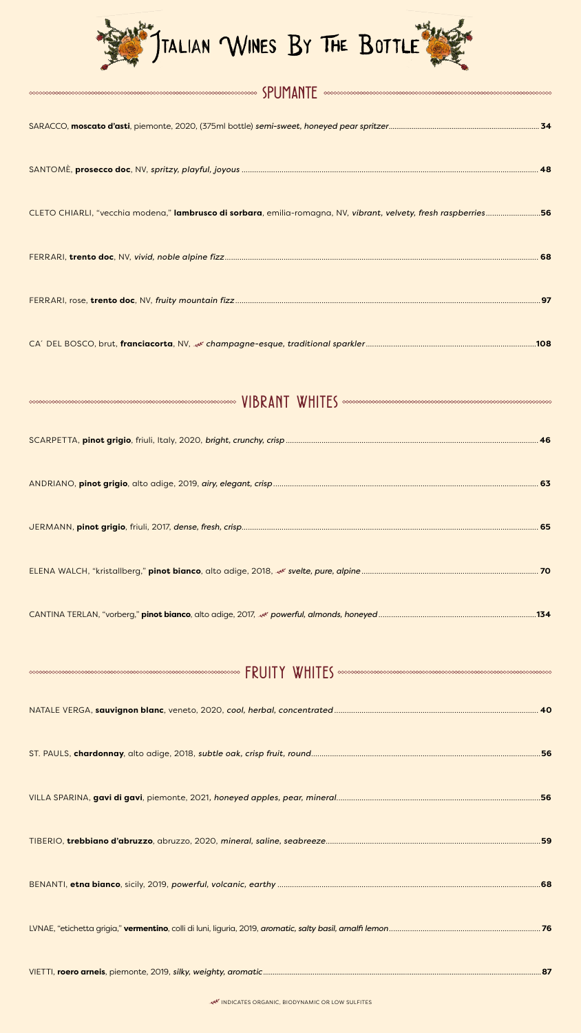

| $\textcolor{red}{\textbf{S}~\textbf{P}~\textbf{U}~\textbf{M}~\textbf{N}~\textbf{P}~\textbf{D}~\textbf{C}~\textbf{C}~\textbf{C}~\textbf{C}~\textbf{C}~\textbf{C}~\textbf{C}~\textbf{C}~\textbf{C}~\textbf{C}~\textbf{C}~\textbf{C}~\textbf{C}~\textbf{C}~\textbf{C}~\textbf{C}~\textbf{C}~\textbf{C}~\textbf{C}~\textbf{C}~\textbf{C}~\textbf{C}~\textbf{C}~\textbf{$ |
|----------------------------------------------------------------------------------------------------------------------------------------------------------------------------------------------------------------------------------------------------------------------------------------------------------------------------------------------------------------------|
|                                                                                                                                                                                                                                                                                                                                                                      |
|                                                                                                                                                                                                                                                                                                                                                                      |
| CLETO CHIARLI, "vecchia modena," lambrusco di sorbara, emilia-romagna, NV, vibrant, velvety, fresh raspberries56                                                                                                                                                                                                                                                     |
|                                                                                                                                                                                                                                                                                                                                                                      |
| .97                                                                                                                                                                                                                                                                                                                                                                  |
| .108                                                                                                                                                                                                                                                                                                                                                                 |
| $\sim$ $\sim$                                                                                                                                                                                                                                                                                                                                                        |

SCARPETTA, **pinot grigio**, friuli, Italy, 2020, *bright, crunchy, crisp* ........................................................................................................................ **46**

| $FRUITY \quad WHITE5 \quad \textit{conconogeneous} \quad \textit{ex} \quad \textit{so} \quad \textit{so} \quad \textit{so} \quad \textit{so} \quad \textit{so} \quad \textit{so} \quad \textit{so} \quad \textit{so} \quad \textit{so} \quad \textit{so} \quad \textit{so} \quad \textit{so} \quad \textit{so} \quad \textit{so} \quad \textit{so} \quad \textit{so} \quad \textit{so} \quad \textit{so} \quad \textit{so} \quad \textit{so} \quad \textit{so} \quad \textit{so} \quad \textit{so} \quad \textit{so} \$ |  |
|-------------------------------------------------------------------------------------------------------------------------------------------------------------------------------------------------------------------------------------------------------------------------------------------------------------------------------------------------------------------------------------------------------------------------------------------------------------------------------------------------------------------------|--|
|                                                                                                                                                                                                                                                                                                                                                                                                                                                                                                                         |  |
|                                                                                                                                                                                                                                                                                                                                                                                                                                                                                                                         |  |
|                                                                                                                                                                                                                                                                                                                                                                                                                                                                                                                         |  |
|                                                                                                                                                                                                                                                                                                                                                                                                                                                                                                                         |  |
|                                                                                                                                                                                                                                                                                                                                                                                                                                                                                                                         |  |
|                                                                                                                                                                                                                                                                                                                                                                                                                                                                                                                         |  |

LVNAE, "etichetta grigia," **vermentino**, colli di luni, liguria, 2019, *aromatic, salty basil, amalfi lemon*........................................................................ **76**

### VIETTI, **roero arneis**, piemonte, 2019, *silky, weighty, aromatic*..................................................................................................................................................**87**

#### INDICATES ORGANIC, BIODYNAMIC OR LOW SULFITES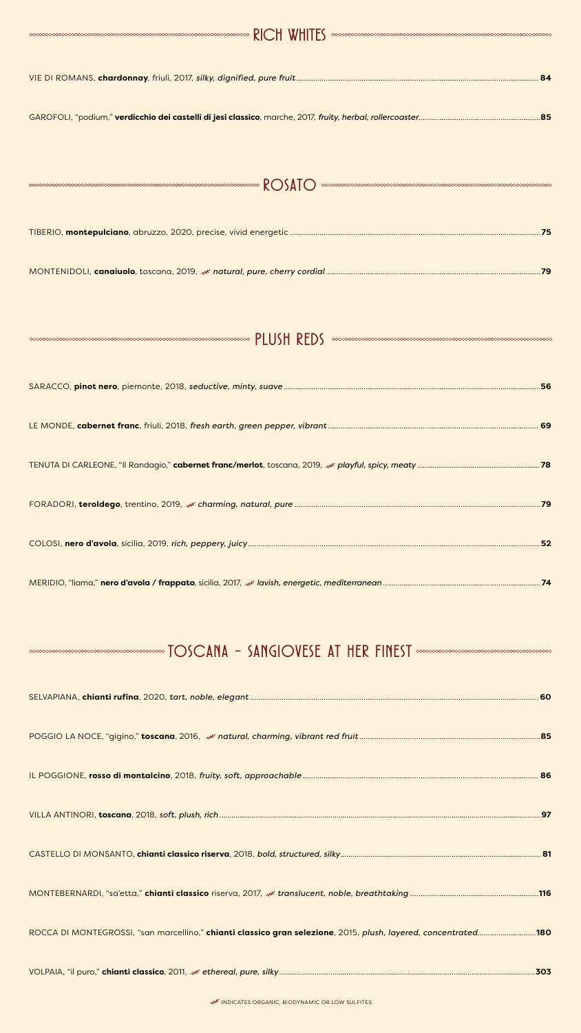#### INDICATES ORGANIC, BIODYNAMIC OR LOW SULFITES

| $\begin{minipage}{.45\textwidth} \begin{picture}(10,0) \label{fig:4} \put(0,0) \put(0,0) \put(0,0) \put(0,0) \put(0,0) \put(0,0) \put(0,0) \put(0,0) \put(0,0) \put(0,0) \put(0,0) \put(0,0) \put(0,0) \put(0,0) \put(0,0) \put(0,0) \put(0,0) \put(0,0) \put(0,0) \put(0,0) \put(0,0) \put(0,0) \put(0,0) \put(0,0) \put(0,0) \put(0,0) \put(0,0)$ |
|-----------------------------------------------------------------------------------------------------------------------------------------------------------------------------------------------------------------------------------------------------------------------------------------------------------------------------------------------------|
|                                                                                                                                                                                                                                                                                                                                                     |
|                                                                                                                                                                                                                                                                                                                                                     |
|                                                                                                                                                                                                                                                                                                                                                     |
| <b>ROSATO</b>                                                                                                                                                                                                                                                                                                                                       |
| . 75                                                                                                                                                                                                                                                                                                                                                |
|                                                                                                                                                                                                                                                                                                                                                     |
|                                                                                                                                                                                                                                                                                                                                                     |
| $\begin{minipage}{.45\%} \end{minipage}$                                                                                                                                                                                                                                                                                                            |
|                                                                                                                                                                                                                                                                                                                                                     |
|                                                                                                                                                                                                                                                                                                                                                     |

TENUTA DI CARLEONE, "Il Randagio," **cabernet franc/merlot**, toscana, 2019, *playful, spicy, meaty* ................................................................ **78**

ROCCA DI MONTEGROSSI, "san marcellino," **chianti classico gran selezione**, 2015, *plush, layered, concentrated*............................**180**

### VOLPAIA, "il puro," **chianti classico**, 2011, *ethereal, pure, silky*.................................................................................................................................**303**